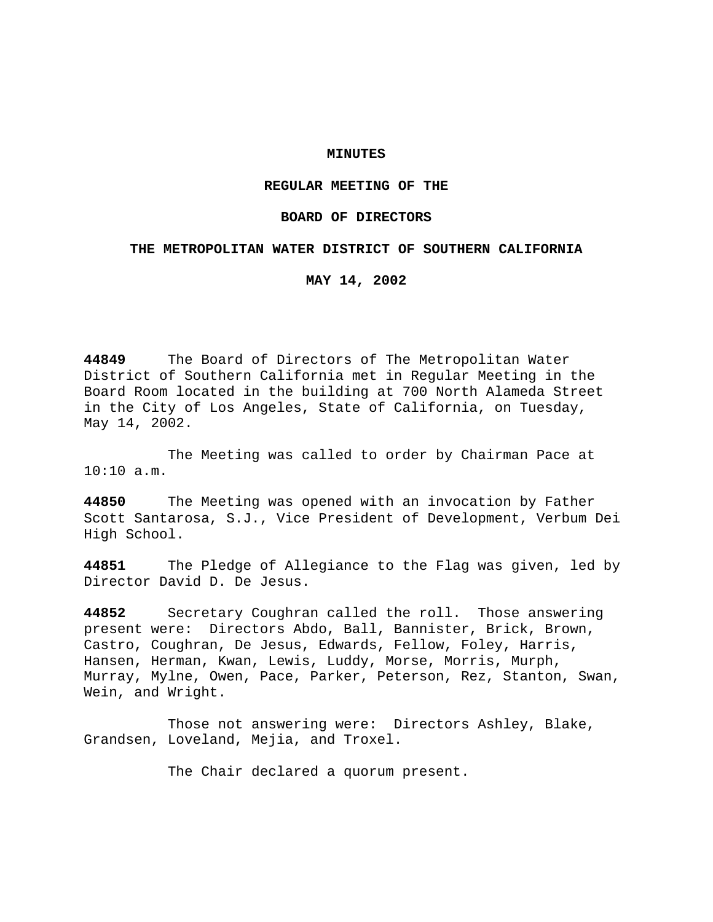## **MINUTES**

# **REGULAR MEETING OF THE**

### **BOARD OF DIRECTORS**

### **THE METROPOLITAN WATER DISTRICT OF SOUTHERN CALIFORNIA**

**MAY 14, 2002**

**44849** The Board of Directors of The Metropolitan Water District of Southern California met in Regular Meeting in the Board Room located in the building at 700 North Alameda Street in the City of Los Angeles, State of California, on Tuesday, May 14, 2002.

The Meeting was called to order by Chairman Pace at 10:10 a.m.

**44850** The Meeting was opened with an invocation by Father Scott Santarosa, S.J., Vice President of Development, Verbum Dei High School.

**44851** The Pledge of Allegiance to the Flag was given, led by Director David D. De Jesus.

**44852** Secretary Coughran called the roll. Those answering present were: Directors Abdo, Ball, Bannister, Brick, Brown, Castro, Coughran, De Jesus, Edwards, Fellow, Foley, Harris, Hansen, Herman, Kwan, Lewis, Luddy, Morse, Morris, Murph, Murray, Mylne, Owen, Pace, Parker, Peterson, Rez, Stanton, Swan, Wein, and Wright.

Those not answering were: Directors Ashley, Blake, Grandsen, Loveland, Mejia, and Troxel.

The Chair declared a quorum present.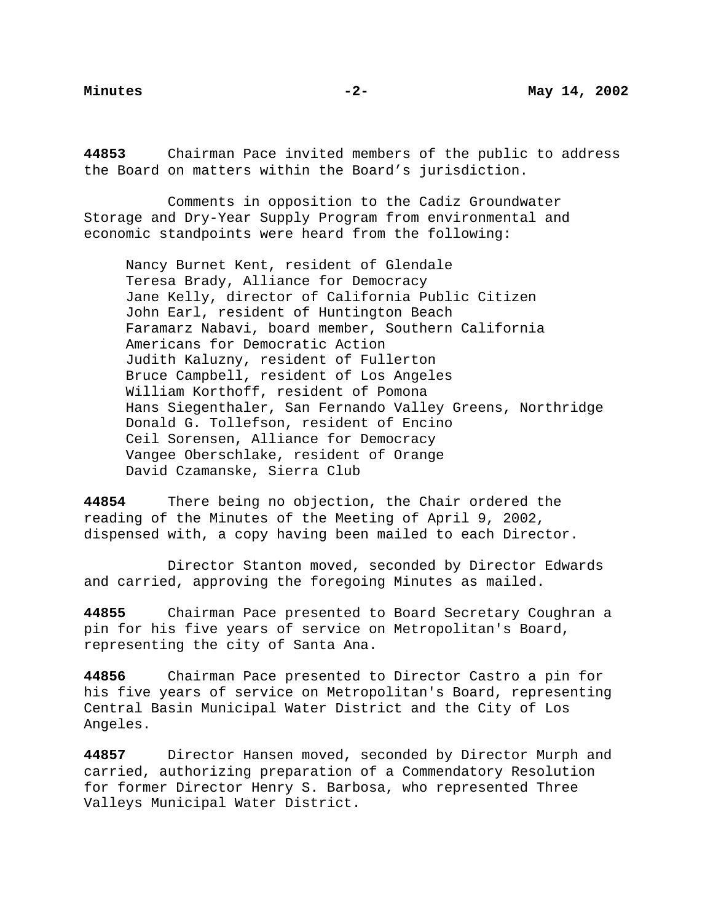**44853** Chairman Pace invited members of the public to address the Board on matters within the Board's jurisdiction.

Comments in opposition to the Cadiz Groundwater Storage and Dry-Year Supply Program from environmental and economic standpoints were heard from the following:

Nancy Burnet Kent, resident of Glendale Teresa Brady, Alliance for Democracy Jane Kelly, director of California Public Citizen John Earl, resident of Huntington Beach Faramarz Nabavi, board member, Southern California Americans for Democratic Action Judith Kaluzny, resident of Fullerton Bruce Campbell, resident of Los Angeles William Korthoff, resident of Pomona Hans Siegenthaler, San Fernando Valley Greens, Northridge Donald G. Tollefson, resident of Encino Ceil Sorensen, Alliance for Democracy Vangee Oberschlake, resident of Orange David Czamanske, Sierra Club

**44854** There being no objection, the Chair ordered the reading of the Minutes of the Meeting of April 9, 2002, dispensed with, a copy having been mailed to each Director.

Director Stanton moved, seconded by Director Edwards and carried, approving the foregoing Minutes as mailed.

**44855** Chairman Pace presented to Board Secretary Coughran a pin for his five years of service on Metropolitan's Board, representing the city of Santa Ana.

**44856** Chairman Pace presented to Director Castro a pin for his five years of service on Metropolitan's Board, representing Central Basin Municipal Water District and the City of Los Angeles.

**44857** Director Hansen moved, seconded by Director Murph and carried, authorizing preparation of a Commendatory Resolution for former Director Henry S. Barbosa, who represented Three Valleys Municipal Water District.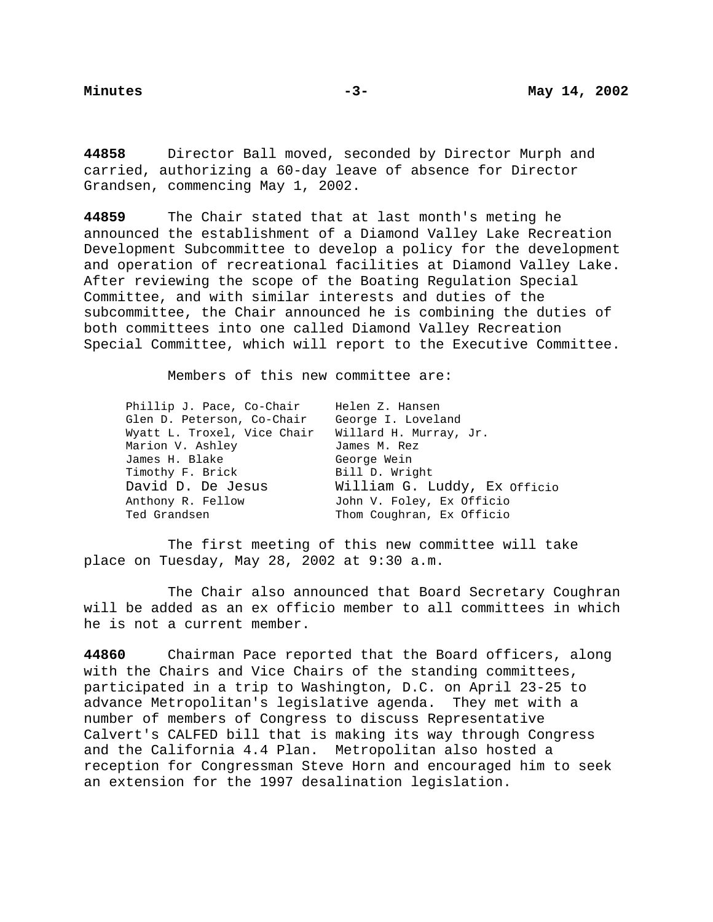**44858** Director Ball moved, seconded by Director Murph and carried, authorizing a 60-day leave of absence for Director Grandsen, commencing May 1, 2002.

**44859** The Chair stated that at last month's meting he announced the establishment of a Diamond Valley Lake Recreation Development Subcommittee to develop a policy for the development and operation of recreational facilities at Diamond Valley Lake. After reviewing the scope of the Boating Regulation Special Committee, and with similar interests and duties of the subcommittee, the Chair announced he is combining the duties of both committees into one called Diamond Valley Recreation Special Committee, which will report to the Executive Committee.

Members of this new committee are:

| Phillip J. Pace, Co-Chair   | Helen Z. Hansen              |
|-----------------------------|------------------------------|
| Glen D. Peterson, Co-Chair  | George I. Loveland           |
| Wyatt L. Troxel, Vice Chair | Willard H. Murray, Jr.       |
| Marion V. Ashley            | James M. Rez                 |
| James H. Blake              | George Wein                  |
| Timothy F. Brick            | Bill D. Wright               |
| David D. De Jesus           | William G. Luddy, Ex Officio |
| Anthony R. Fellow           | John V. Foley, Ex Officio    |
| Ted Grandsen                | Thom Coughran, Ex Officio    |

The first meeting of this new committee will take place on Tuesday, May 28, 2002 at 9:30 a.m.

The Chair also announced that Board Secretary Coughran will be added as an ex officio member to all committees in which he is not a current member.

**44860** Chairman Pace reported that the Board officers, along with the Chairs and Vice Chairs of the standing committees, participated in a trip to Washington, D.C. on April 23-25 to advance Metropolitan's legislative agenda. They met with a number of members of Congress to discuss Representative Calvert's CALFED bill that is making its way through Congress and the California 4.4 Plan. Metropolitan also hosted a reception for Congressman Steve Horn and encouraged him to seek an extension for the 1997 desalination legislation.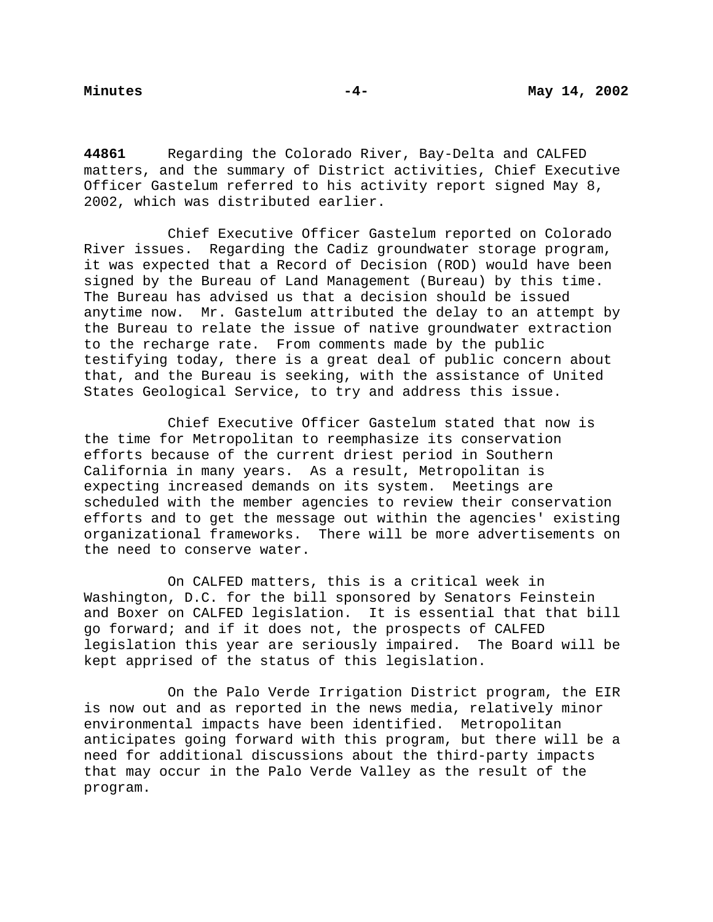**44861** Regarding the Colorado River, Bay-Delta and CALFED matters, and the summary of District activities, Chief Executive Officer Gastelum referred to his activity report signed May 8, 2002, which was distributed earlier.

Chief Executive Officer Gastelum reported on Colorado River issues. Regarding the Cadiz groundwater storage program, it was expected that a Record of Decision (ROD) would have been signed by the Bureau of Land Management (Bureau) by this time. The Bureau has advised us that a decision should be issued anytime now. Mr. Gastelum attributed the delay to an attempt by the Bureau to relate the issue of native groundwater extraction to the recharge rate. From comments made by the public testifying today, there is a great deal of public concern about that, and the Bureau is seeking, with the assistance of United States Geological Service, to try and address this issue.

Chief Executive Officer Gastelum stated that now is the time for Metropolitan to reemphasize its conservation efforts because of the current driest period in Southern California in many years. As a result, Metropolitan is expecting increased demands on its system. Meetings are scheduled with the member agencies to review their conservation efforts and to get the message out within the agencies' existing organizational frameworks. There will be more advertisements on the need to conserve water.

On CALFED matters, this is a critical week in Washington, D.C. for the bill sponsored by Senators Feinstein and Boxer on CALFED legislation. It is essential that that bill go forward; and if it does not, the prospects of CALFED legislation this year are seriously impaired. The Board will be kept apprised of the status of this legislation.

On the Palo Verde Irrigation District program, the EIR is now out and as reported in the news media, relatively minor environmental impacts have been identified. Metropolitan anticipates going forward with this program, but there will be a need for additional discussions about the third-party impacts that may occur in the Palo Verde Valley as the result of the program.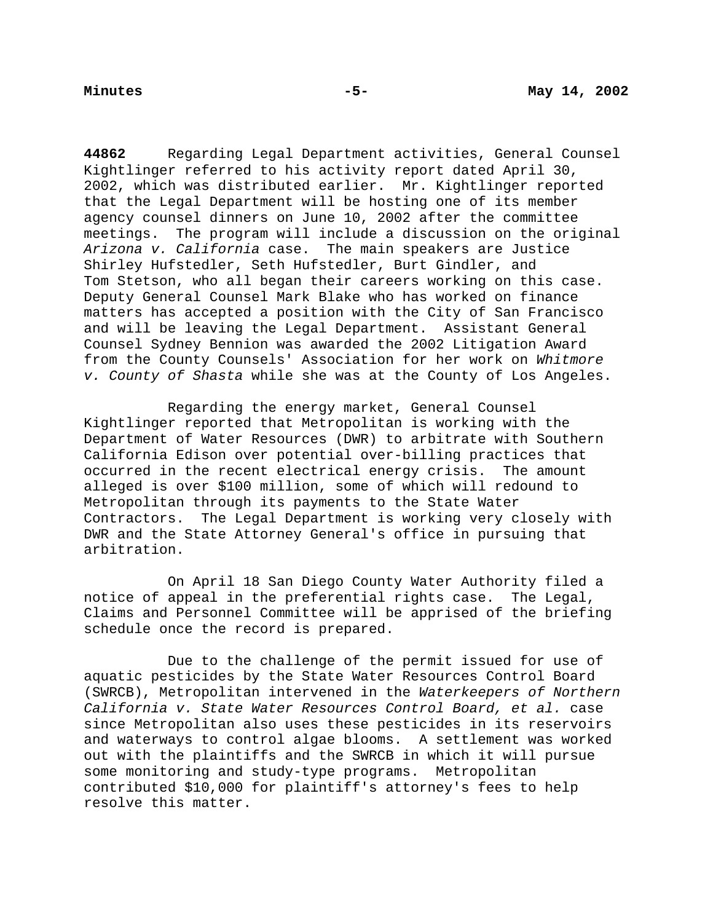**44862** Regarding Legal Department activities, General Counsel Kightlinger referred to his activity report dated April 30, 2002, which was distributed earlier. Mr. Kightlinger reported that the Legal Department will be hosting one of its member agency counsel dinners on June 10, 2002 after the committee meetings. The program will include a discussion on the original Arizona v. California case. The main speakers are Justice Shirley Hufstedler, Seth Hufstedler, Burt Gindler, and Tom Stetson, who all began their careers working on this case. Deputy General Counsel Mark Blake who has worked on finance matters has accepted a position with the City of San Francisco and will be leaving the Legal Department. Assistant General Counsel Sydney Bennion was awarded the 2002 Litigation Award from the County Counsels' Association for her work on Whitmore v. County of Shasta while she was at the County of Los Angeles.

Regarding the energy market, General Counsel Kightlinger reported that Metropolitan is working with the Department of Water Resources (DWR) to arbitrate with Southern California Edison over potential over-billing practices that occurred in the recent electrical energy crisis. The amount alleged is over \$100 million, some of which will redound to Metropolitan through its payments to the State Water Contractors. The Legal Department is working very closely with DWR and the State Attorney General's office in pursuing that arbitration.

On April 18 San Diego County Water Authority filed a notice of appeal in the preferential rights case. The Legal, Claims and Personnel Committee will be apprised of the briefing schedule once the record is prepared.

Due to the challenge of the permit issued for use of aquatic pesticides by the State Water Resources Control Board (SWRCB), Metropolitan intervened in the Waterkeepers of Northern California v. State Water Resources Control Board, et al. case since Metropolitan also uses these pesticides in its reservoirs and waterways to control algae blooms. A settlement was worked out with the plaintiffs and the SWRCB in which it will pursue some monitoring and study-type programs. Metropolitan contributed \$10,000 for plaintiff's attorney's fees to help resolve this matter.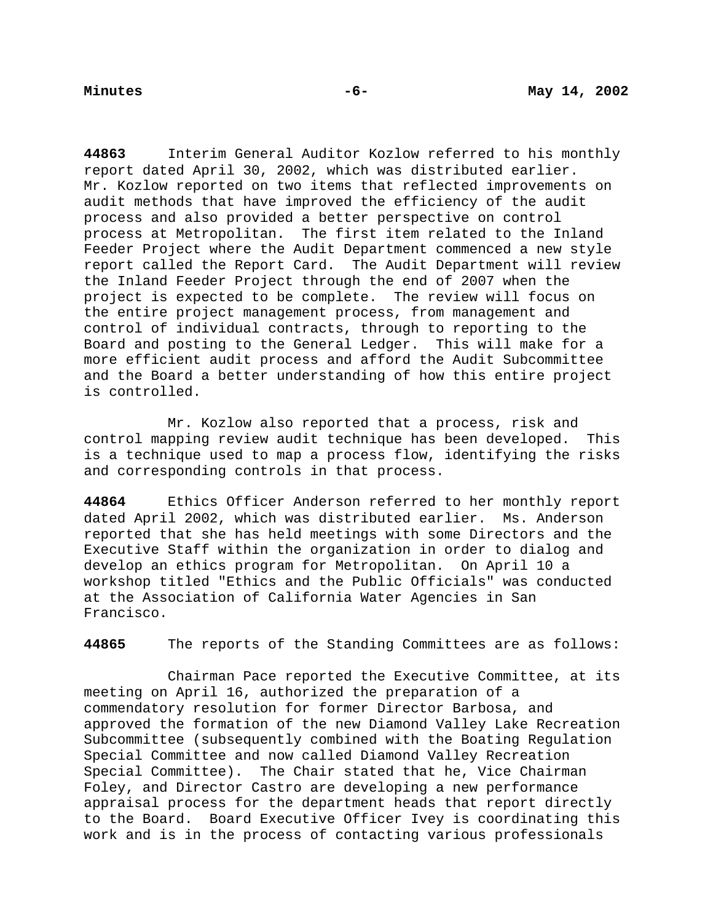**44863** Interim General Auditor Kozlow referred to his monthly report dated April 30, 2002, which was distributed earlier. Mr. Kozlow reported on two items that reflected improvements on audit methods that have improved the efficiency of the audit process and also provided a better perspective on control process at Metropolitan. The first item related to the Inland Feeder Project where the Audit Department commenced a new style report called the Report Card. The Audit Department will review the Inland Feeder Project through the end of 2007 when the project is expected to be complete. The review will focus on the entire project management process, from management and control of individual contracts, through to reporting to the Board and posting to the General Ledger. This will make for a more efficient audit process and afford the Audit Subcommittee and the Board a better understanding of how this entire project is controlled.

Mr. Kozlow also reported that a process, risk and control mapping review audit technique has been developed. This is a technique used to map a process flow, identifying the risks and corresponding controls in that process.

**44864** Ethics Officer Anderson referred to her monthly report dated April 2002, which was distributed earlier. Ms. Anderson reported that she has held meetings with some Directors and the Executive Staff within the organization in order to dialog and develop an ethics program for Metropolitan. On April 10 a workshop titled "Ethics and the Public Officials" was conducted at the Association of California Water Agencies in San Francisco.

**44865** The reports of the Standing Committees are as follows:

Chairman Pace reported the Executive Committee, at its meeting on April 16, authorized the preparation of a commendatory resolution for former Director Barbosa, and approved the formation of the new Diamond Valley Lake Recreation Subcommittee (subsequently combined with the Boating Regulation Special Committee and now called Diamond Valley Recreation Special Committee). The Chair stated that he, Vice Chairman Foley, and Director Castro are developing a new performance appraisal process for the department heads that report directly to the Board. Board Executive Officer Ivey is coordinating this work and is in the process of contacting various professionals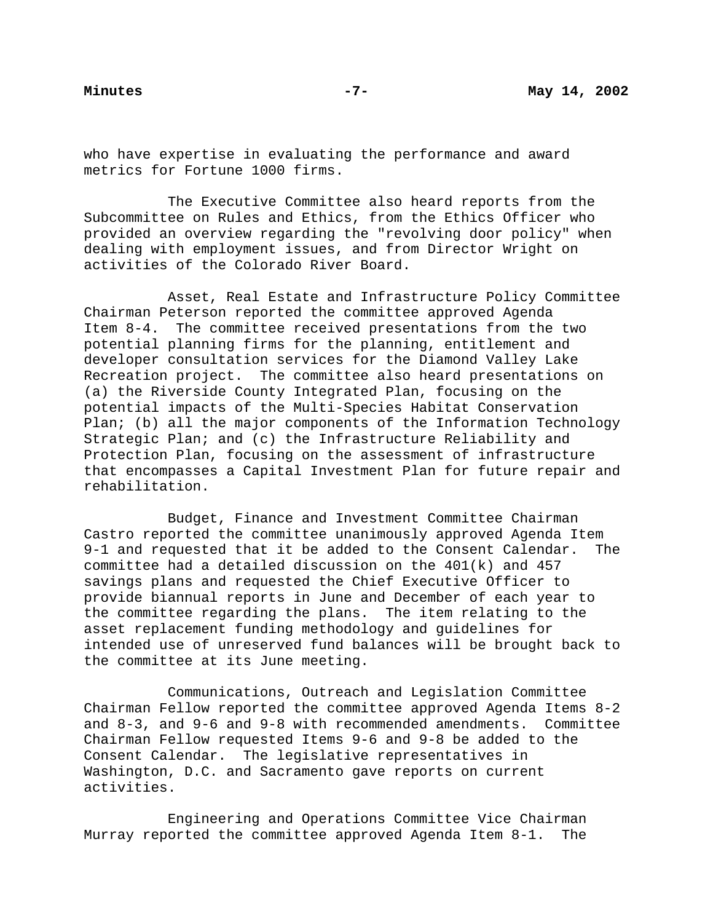who have expertise in evaluating the performance and award metrics for Fortune 1000 firms.

The Executive Committee also heard reports from the Subcommittee on Rules and Ethics, from the Ethics Officer who provided an overview regarding the "revolving door policy" when dealing with employment issues, and from Director Wright on activities of the Colorado River Board.

Asset, Real Estate and Infrastructure Policy Committee Chairman Peterson reported the committee approved Agenda Item 8-4. The committee received presentations from the two potential planning firms for the planning, entitlement and developer consultation services for the Diamond Valley Lake Recreation project. The committee also heard presentations on (a) the Riverside County Integrated Plan, focusing on the potential impacts of the Multi-Species Habitat Conservation Plan; (b) all the major components of the Information Technology Strategic Plan; and (c) the Infrastructure Reliability and Protection Plan, focusing on the assessment of infrastructure that encompasses a Capital Investment Plan for future repair and rehabilitation.

Budget, Finance and Investment Committee Chairman Castro reported the committee unanimously approved Agenda Item 9-1 and requested that it be added to the Consent Calendar. The committee had a detailed discussion on the 401(k) and 457 savings plans and requested the Chief Executive Officer to provide biannual reports in June and December of each year to the committee regarding the plans. The item relating to the asset replacement funding methodology and guidelines for intended use of unreserved fund balances will be brought back to the committee at its June meeting.

Communications, Outreach and Legislation Committee Chairman Fellow reported the committee approved Agenda Items 8-2 and 8-3, and 9-6 and 9-8 with recommended amendments. Committee Chairman Fellow requested Items 9-6 and 9-8 be added to the Consent Calendar. The legislative representatives in Washington, D.C. and Sacramento gave reports on current activities.

Engineering and Operations Committee Vice Chairman Murray reported the committee approved Agenda Item 8-1. The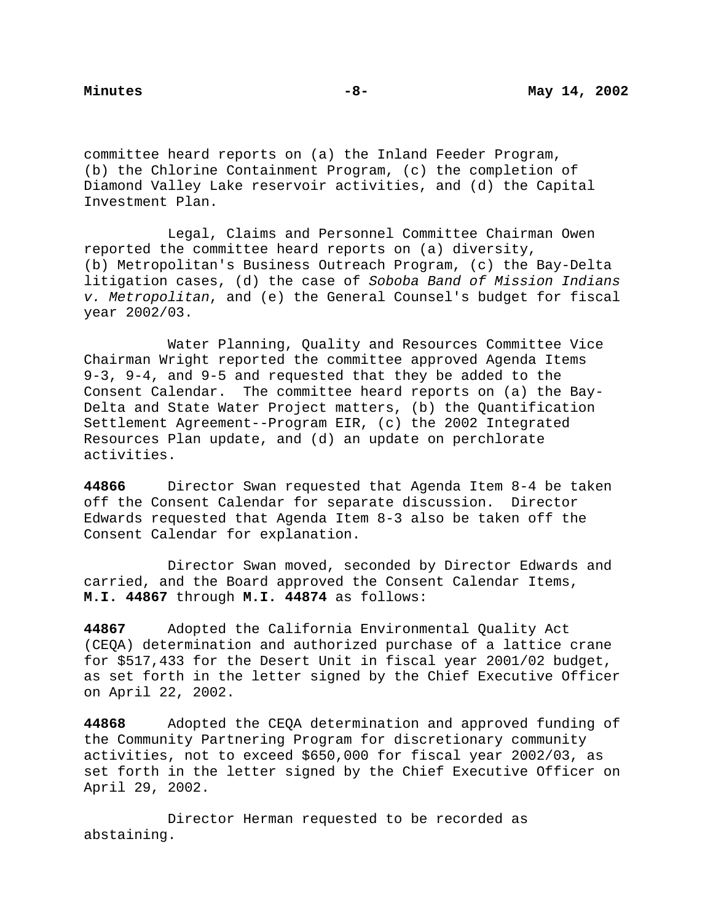committee heard reports on (a) the Inland Feeder Program, (b) the Chlorine Containment Program, (c) the completion of Diamond Valley Lake reservoir activities, and (d) the Capital Investment Plan.

Legal, Claims and Personnel Committee Chairman Owen reported the committee heard reports on (a) diversity, (b) Metropolitan's Business Outreach Program, (c) the Bay-Delta litigation cases, (d) the case of Soboba Band of Mission Indians v. Metropolitan, and (e) the General Counsel's budget for fiscal year 2002/03.

Water Planning, Quality and Resources Committee Vice Chairman Wright reported the committee approved Agenda Items 9-3, 9-4, and 9-5 and requested that they be added to the Consent Calendar. The committee heard reports on (a) the Bay-Delta and State Water Project matters, (b) the Quantification Settlement Agreement--Program EIR, (c) the 2002 Integrated Resources Plan update, and (d) an update on perchlorate activities.

**44866** Director Swan requested that Agenda Item 8-4 be taken off the Consent Calendar for separate discussion. Director Edwards requested that Agenda Item 8-3 also be taken off the Consent Calendar for explanation.

Director Swan moved, seconded by Director Edwards and carried, and the Board approved the Consent Calendar Items, **M.I. 44867** through **M.I. 44874** as follows:

**44867** Adopted the California Environmental Quality Act (CEQA) determination and authorized purchase of a lattice crane for \$517,433 for the Desert Unit in fiscal year 2001/02 budget, as set forth in the letter signed by the Chief Executive Officer on April 22, 2002.

**44868** Adopted the CEQA determination and approved funding of the Community Partnering Program for discretionary community activities, not to exceed \$650,000 for fiscal year 2002/03, as set forth in the letter signed by the Chief Executive Officer on April 29, 2002.

Director Herman requested to be recorded as abstaining.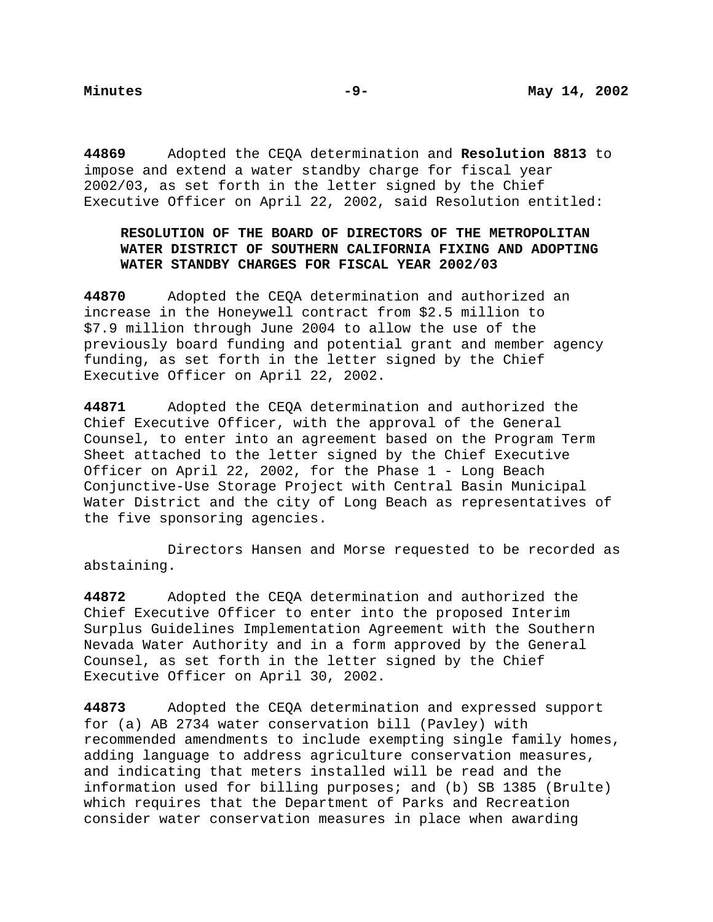**44869** Adopted the CEQA determination and **Resolution 8813** to impose and extend a water standby charge for fiscal year 2002/03, as set forth in the letter signed by the Chief Executive Officer on April 22, 2002, said Resolution entitled:

# **RESOLUTION OF THE BOARD OF DIRECTORS OF THE METROPOLITAN WATER DISTRICT OF SOUTHERN CALIFORNIA FIXING AND ADOPTING WATER STANDBY CHARGES FOR FISCAL YEAR 2002/03**

**44870** Adopted the CEQA determination and authorized an increase in the Honeywell contract from \$2.5 million to \$7.9 million through June 2004 to allow the use of the previously board funding and potential grant and member agency funding, as set forth in the letter signed by the Chief Executive Officer on April 22, 2002.

**44871** Adopted the CEQA determination and authorized the Chief Executive Officer, with the approval of the General Counsel, to enter into an agreement based on the Program Term Sheet attached to the letter signed by the Chief Executive Officer on April 22, 2002, for the Phase 1 - Long Beach Conjunctive-Use Storage Project with Central Basin Municipal Water District and the city of Long Beach as representatives of the five sponsoring agencies.

Directors Hansen and Morse requested to be recorded as abstaining.

**44872** Adopted the CEQA determination and authorized the Chief Executive Officer to enter into the proposed Interim Surplus Guidelines Implementation Agreement with the Southern Nevada Water Authority and in a form approved by the General Counsel, as set forth in the letter signed by the Chief Executive Officer on April 30, 2002.

**44873** Adopted the CEQA determination and expressed support for (a) AB 2734 water conservation bill (Pavley) with recommended amendments to include exempting single family homes, adding language to address agriculture conservation measures, and indicating that meters installed will be read and the information used for billing purposes; and (b) SB 1385 (Brulte) which requires that the Department of Parks and Recreation consider water conservation measures in place when awarding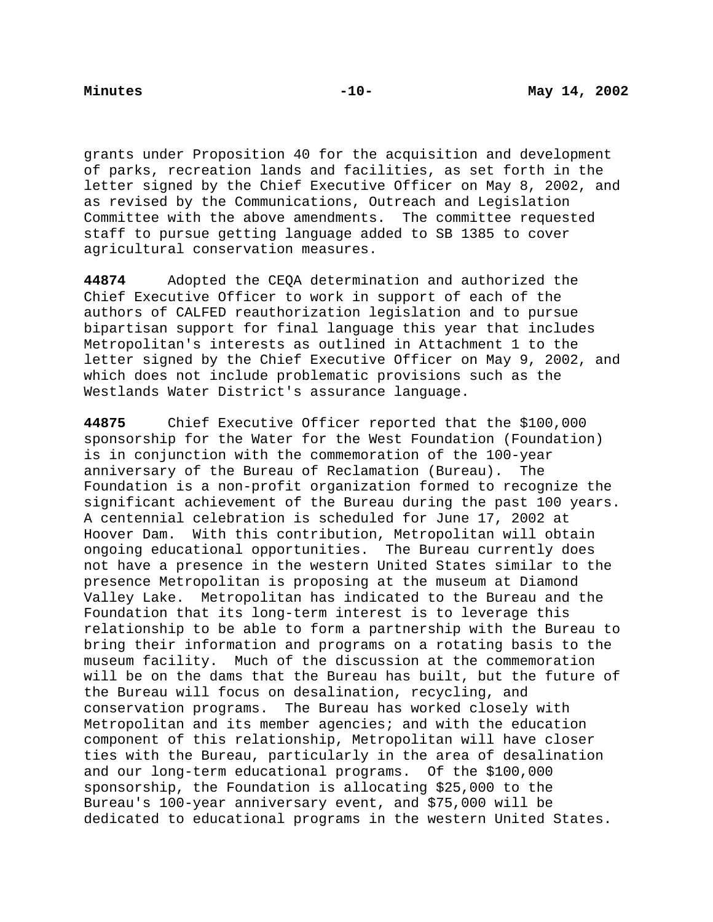grants under Proposition 40 for the acquisition and development of parks, recreation lands and facilities, as set forth in the letter signed by the Chief Executive Officer on May 8, 2002, and as revised by the Communications, Outreach and Legislation Committee with the above amendments. The committee requested staff to pursue getting language added to SB 1385 to cover agricultural conservation measures.

**44874** Adopted the CEQA determination and authorized the Chief Executive Officer to work in support of each of the authors of CALFED reauthorization legislation and to pursue bipartisan support for final language this year that includes Metropolitan's interests as outlined in Attachment 1 to the letter signed by the Chief Executive Officer on May 9, 2002, and which does not include problematic provisions such as the Westlands Water District's assurance language.

**44875** Chief Executive Officer reported that the \$100,000 sponsorship for the Water for the West Foundation (Foundation) is in conjunction with the commemoration of the 100-year anniversary of the Bureau of Reclamation (Bureau). The Foundation is a non-profit organization formed to recognize the significant achievement of the Bureau during the past 100 years. A centennial celebration is scheduled for June 17, 2002 at Hoover Dam. With this contribution, Metropolitan will obtain ongoing educational opportunities. The Bureau currently does not have a presence in the western United States similar to the presence Metropolitan is proposing at the museum at Diamond Valley Lake. Metropolitan has indicated to the Bureau and the Foundation that its long-term interest is to leverage this relationship to be able to form a partnership with the Bureau to bring their information and programs on a rotating basis to the museum facility. Much of the discussion at the commemoration will be on the dams that the Bureau has built, but the future of the Bureau will focus on desalination, recycling, and conservation programs. The Bureau has worked closely with Metropolitan and its member agencies; and with the education component of this relationship, Metropolitan will have closer ties with the Bureau, particularly in the area of desalination and our long-term educational programs. Of the \$100,000 sponsorship, the Foundation is allocating \$25,000 to the Bureau's 100-year anniversary event, and \$75,000 will be dedicated to educational programs in the western United States.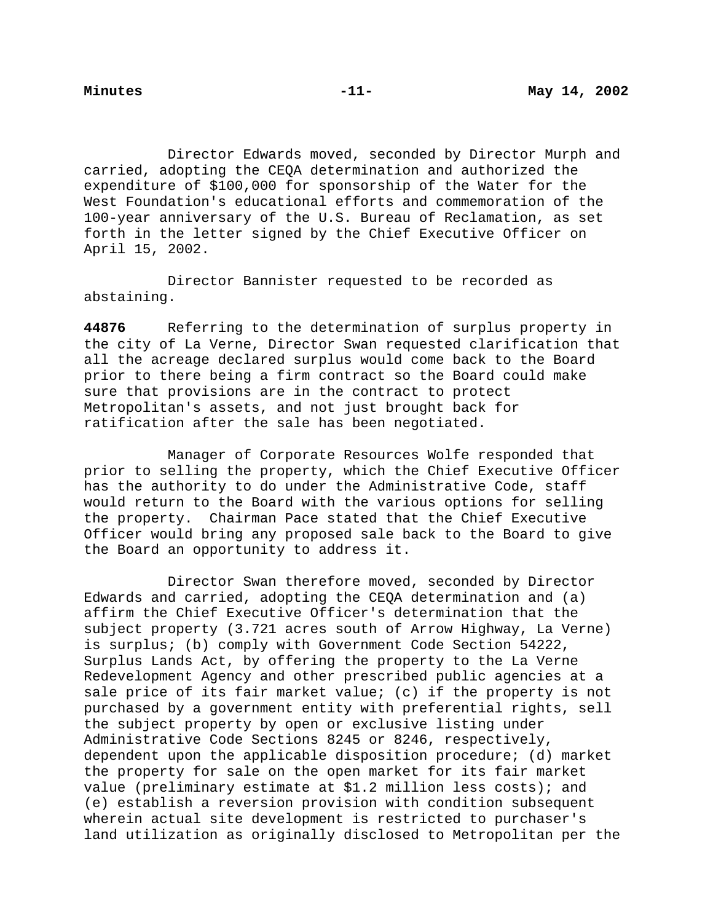Director Edwards moved, seconded by Director Murph and carried, adopting the CEQA determination and authorized the expenditure of \$100,000 for sponsorship of the Water for the West Foundation's educational efforts and commemoration of the 100-year anniversary of the U.S. Bureau of Reclamation, as set forth in the letter signed by the Chief Executive Officer on April 15, 2002.

Director Bannister requested to be recorded as abstaining.

**44876** Referring to the determination of surplus property in the city of La Verne, Director Swan requested clarification that all the acreage declared surplus would come back to the Board prior to there being a firm contract so the Board could make sure that provisions are in the contract to protect Metropolitan's assets, and not just brought back for ratification after the sale has been negotiated.

Manager of Corporate Resources Wolfe responded that prior to selling the property, which the Chief Executive Officer has the authority to do under the Administrative Code, staff would return to the Board with the various options for selling the property. Chairman Pace stated that the Chief Executive Officer would bring any proposed sale back to the Board to give the Board an opportunity to address it.

Director Swan therefore moved, seconded by Director Edwards and carried, adopting the CEQA determination and (a) affirm the Chief Executive Officer's determination that the subject property (3.721 acres south of Arrow Highway, La Verne) is surplus; (b) comply with Government Code Section 54222, Surplus Lands Act, by offering the property to the La Verne Redevelopment Agency and other prescribed public agencies at a sale price of its fair market value; (c) if the property is not purchased by a government entity with preferential rights, sell the subject property by open or exclusive listing under Administrative Code Sections 8245 or 8246, respectively, dependent upon the applicable disposition procedure; (d) market the property for sale on the open market for its fair market value (preliminary estimate at \$1.2 million less costs); and (e) establish a reversion provision with condition subsequent wherein actual site development is restricted to purchaser's land utilization as originally disclosed to Metropolitan per the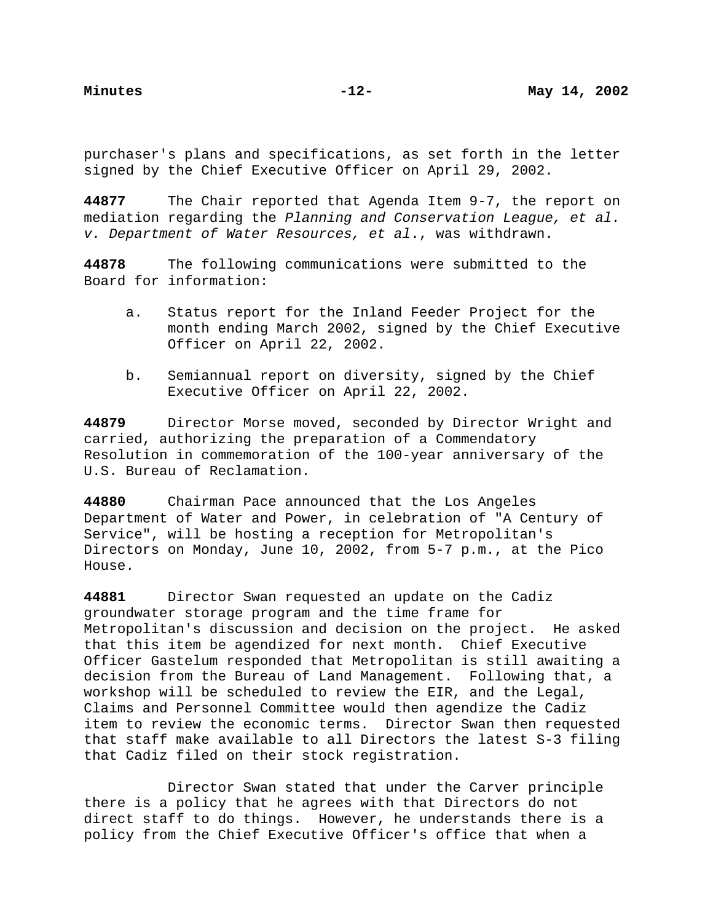purchaser's plans and specifications, as set forth in the letter signed by the Chief Executive Officer on April 29, 2002.

**44877** The Chair reported that Agenda Item 9-7, the report on mediation regarding the Planning and Conservation League, et al. v. Department of Water Resources, et al., was withdrawn.

**44878** The following communications were submitted to the Board for information:

- a. Status report for the Inland Feeder Project for the month ending March 2002, signed by the Chief Executive Officer on April 22, 2002.
- b. Semiannual report on diversity, signed by the Chief Executive Officer on April 22, 2002.

**44879** Director Morse moved, seconded by Director Wright and carried, authorizing the preparation of a Commendatory Resolution in commemoration of the 100-year anniversary of the U.S. Bureau of Reclamation.

**44880** Chairman Pace announced that the Los Angeles Department of Water and Power, in celebration of "A Century of Service", will be hosting a reception for Metropolitan's Directors on Monday, June 10, 2002, from 5-7 p.m., at the Pico House.

**44881** Director Swan requested an update on the Cadiz groundwater storage program and the time frame for Metropolitan's discussion and decision on the project. He asked that this item be agendized for next month. Chief Executive Officer Gastelum responded that Metropolitan is still awaiting a decision from the Bureau of Land Management. Following that, a workshop will be scheduled to review the EIR, and the Legal, Claims and Personnel Committee would then agendize the Cadiz item to review the economic terms. Director Swan then requested that staff make available to all Directors the latest S-3 filing that Cadiz filed on their stock registration.

Director Swan stated that under the Carver principle there is a policy that he agrees with that Directors do not direct staff to do things. However, he understands there is a policy from the Chief Executive Officer's office that when a